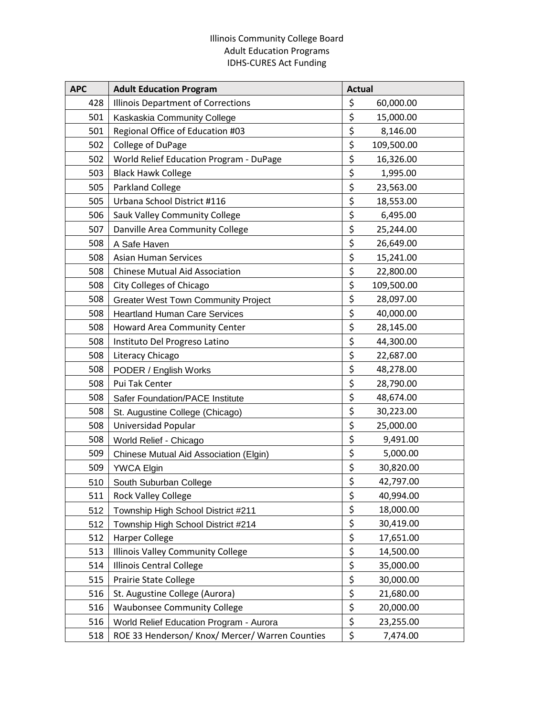## Illinois Community College Board Adult Education Programs IDHS-CURES Act Funding

| <b>APC</b> | <b>Adult Education Program</b>                  | <b>Actual</b>    |  |
|------------|-------------------------------------------------|------------------|--|
| 428        | Illinois Department of Corrections              | \$<br>60,000.00  |  |
| 501        | Kaskaskia Community College                     | \$<br>15,000.00  |  |
| 501        | Regional Office of Education #03                | \$<br>8,146.00   |  |
| 502        | College of DuPage                               | \$<br>109,500.00 |  |
| 502        | World Relief Education Program - DuPage         | \$<br>16,326.00  |  |
| 503        | <b>Black Hawk College</b>                       | \$<br>1,995.00   |  |
| 505        | <b>Parkland College</b>                         | \$<br>23,563.00  |  |
| 505        | Urbana School District #116                     | \$<br>18,553.00  |  |
| 506        | Sauk Valley Community College                   | \$<br>6,495.00   |  |
| 507        | Danville Area Community College                 | \$<br>25,244.00  |  |
| 508        | A Safe Haven                                    | \$<br>26,649.00  |  |
| 508        | <b>Asian Human Services</b>                     | \$<br>15,241.00  |  |
| 508        | <b>Chinese Mutual Aid Association</b>           | \$<br>22,800.00  |  |
| 508        | <b>City Colleges of Chicago</b>                 | \$<br>109,500.00 |  |
| 508        | <b>Greater West Town Community Project</b>      | \$<br>28,097.00  |  |
| 508        | <b>Heartland Human Care Services</b>            | \$<br>40,000.00  |  |
| 508        | Howard Area Community Center                    | \$<br>28,145.00  |  |
| 508        | Instituto Del Progreso Latino                   | \$<br>44,300.00  |  |
| 508        | Literacy Chicago                                | \$<br>22,687.00  |  |
| 508        | PODER / English Works                           | \$<br>48,278.00  |  |
| 508        | Pui Tak Center                                  | \$<br>28,790.00  |  |
| 508        | Safer Foundation/PACE Institute                 | \$<br>48,674.00  |  |
| 508        | St. Augustine College (Chicago)                 | \$<br>30,223.00  |  |
| 508        | Universidad Popular                             | \$<br>25,000.00  |  |
| 508        | World Relief - Chicago                          | \$<br>9,491.00   |  |
| 509        | Chinese Mutual Aid Association (Elgin)          | \$<br>5,000.00   |  |
| 509        | <b>YWCA Elgin</b>                               | \$<br>30,820.00  |  |
| 510        | South Suburban College                          | \$<br>42,797.00  |  |
| 511        | <b>Rock Valley College</b>                      | \$<br>40,994.00  |  |
| 512        | Township High School District #211              | \$<br>18,000.00  |  |
| 512        | Township High School District #214              | \$<br>30,419.00  |  |
| 512        | <b>Harper College</b>                           | \$<br>17,651.00  |  |
| 513        | <b>Illinois Valley Community College</b>        | \$<br>14,500.00  |  |
| 514        | Illinois Central College                        | \$<br>35,000.00  |  |
| 515        | Prairie State College                           | \$<br>30,000.00  |  |
| 516        | St. Augustine College (Aurora)                  | \$<br>21,680.00  |  |
| 516        | <b>Waubonsee Community College</b>              | \$<br>20,000.00  |  |
| 516        | World Relief Education Program - Aurora         | \$<br>23,255.00  |  |
| 518        | ROE 33 Henderson/ Knox/ Mercer/ Warren Counties | \$<br>7,474.00   |  |